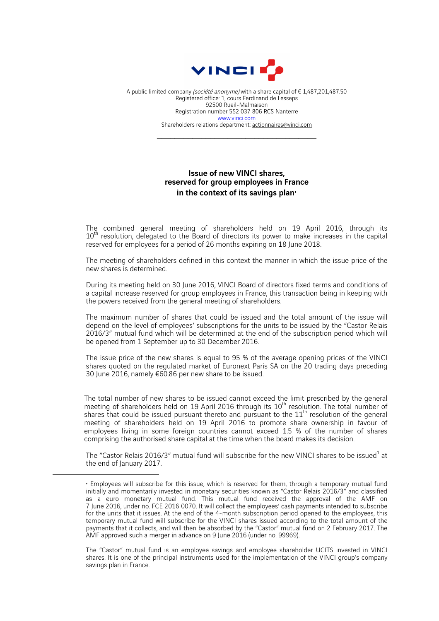

A public limited company *(société anonyme)* with a share capital of  $\epsilon$  1.487,201.487.50 Registered office: 1, cours Ferdinand de Lesseps 92500 Rueil-Malmaison Registration number 552 037 806 RCS Nanterre www.vinci.com Shareholders relations department: actionnaires@vinci.com

 $\mathcal{L}_\text{max}$  , and the set of the set of the set of the set of the set of the set of the set of the set of the set of the set of the set of the set of the set of the set of the set of the set of the set of the set of the

## Issue of new VINCI shares, reserved for group employees in France in the context of its savings plan<sup>+</sup>

The combined general meeting of shareholders held on 19 April 2016, through its 10<sup>th</sup> resolution, delegated to the Board of directors its power to make increases in the capital reserved for employees for a period of 26 months expiring on 18 June 2018.

The meeting of shareholders defined in this context the manner in which the issue price of the new shares is determined.

During its meeting held on 30 June 2016, VINCI Board of directors fixed terms and conditions of a capital increase reserved for group employees in France, this transaction being in keeping with the powers received from the general meeting of shareholders.

The maximum number of shares that could be issued and the total amount of the issue will depend on the level of employees' subscriptions for the units to be issued by the "Castor Relais 2016/3" mutual fund which will be determined at the end of the subscription period which will be opened from 1 September up to 30 December 2016.

The issue price of the new shares is equal to 95 % of the average opening prices of the VINCI shares quoted on the regulated market of Euronext Paris SA on the 20 trading days preceding 30 June 2016, namely €60.86 per new share to be issued.

The total number of new shares to be issued cannot exceed the limit prescribed by the general meeting of shareholders held on 19 April 2016 through its 10<sup>th</sup> resolution. The total number of shares that could be issued pursuant thereto and pursuant to the  $11<sup>th</sup>$  resolution of the general meeting of shareholders held on 19 April 2016 to promote share ownership in favour of employees living in some foreign countries cannot exceed 1.5 % of the number of shares comprising the authorised share capital at the time when the board makes its decision.

The "Castor Relais 2016/3" mutual fund will subscribe for the new VINCI shares to be issued<sup>1</sup> at the end of January 2017.

 $\overline{a}$ 

The "Castor" mutual fund is an employee savings and employee shareholder UCITS invested in VINCI shares. It is one of the principal instruments used for the implementation of the VINCI group's company savings plan in France.

<sup>♦</sup> Employees will subscribe for this issue, which is reserved for them, through a temporary mutual fund initially and momentarily invested in monetary securities known as "Castor Relais 2016/3" and classified as a euro monetary mutual fund. This mutual fund received the approval of the AMF on 7 June 2016, under no. FCE 2016 0070. It will collect the employees' cash payments intended to subscribe for the units that it issues. At the end of the 4-month subscription period opened to the employees, this temporary mutual fund will subscribe for the VINCI shares issued according to the total amount of the payments that it collects, and will then be absorbed by the "Castor" mutual fund on 2 February 2017. The AMF approved such a merger in advance on 9 June 2016 (under no. 99969).